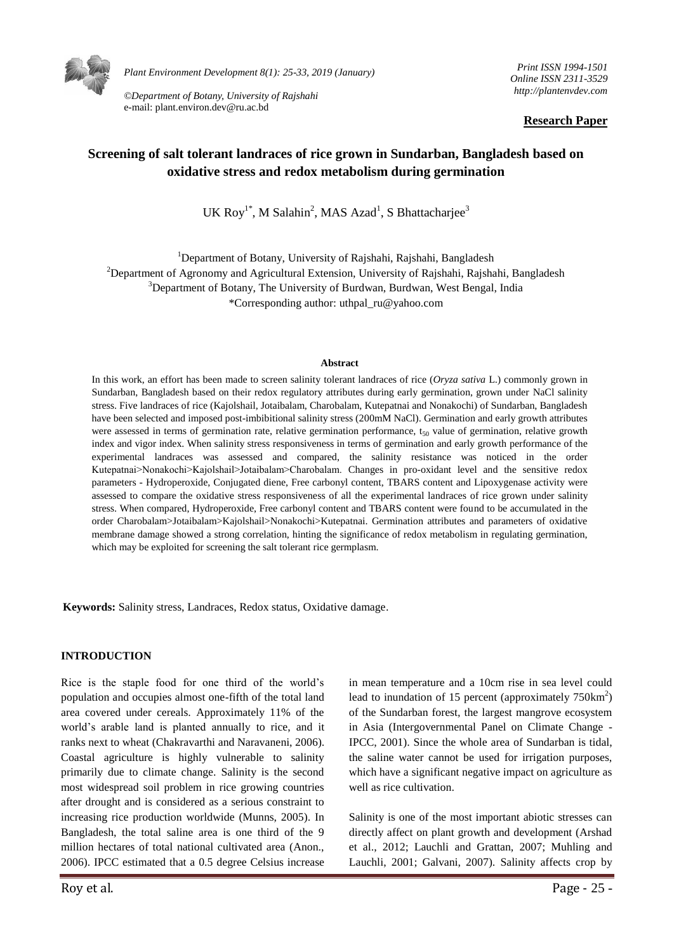

*Plant Environment Development 8(1): 25-33, 2019 (January)* 

*©Department of Botany, University of Rajshahi*  e-mail: plant.environ.dev@ru.ac.bd

*Print ISSN 1994-1501 Online ISSN 2311-3529 http://plantenvdev.com* 

#### **Research Paper**

# **Screening of salt tolerant landraces of rice grown in Sundarban, Bangladesh based on oxidative stress and redox metabolism during germination**

UK Roy<sup>1\*</sup>, M Salahin<sup>2</sup>, MAS Azad<sup>1</sup>, S Bhattacharjee<sup>3</sup>

<sup>1</sup>Department of Botany, University of Rajshahi, Rajshahi, Bangladesh <sup>2</sup>Department of Agronomy and Agricultural Extension, University of Rajshahi, Rajshahi, Bangladesh <sup>3</sup>Department of Botany, The University of Burdwan, Burdwan, West Bengal, India \*Corresponding author: uthpal\_ru@yahoo.com

#### **Abstract**

In this work, an effort has been made to screen salinity tolerant landraces of rice (*Oryza sativa* L.) commonly grown in Sundarban, Bangladesh based on their redox regulatory attributes during early germination, grown under NaCl salinity stress. Five landraces of rice (Kajolshail, Jotaibalam, Charobalam, Kutepatnai and Nonakochi) of Sundarban, Bangladesh have been selected and imposed post-imbibitional salinity stress (200mM NaCl). Germination and early growth attributes were assessed in terms of germination rate, relative germination performance,  $t_{50}$  value of germination, relative growth index and vigor index. When salinity stress responsiveness in terms of germination and early growth performance of the experimental landraces was assessed and compared, the salinity resistance was noticed in the order Kutepatnai>Nonakochi>Kajolshail>Jotaibalam>Charobalam. Changes in pro-oxidant level and the sensitive redox parameters - Hydroperoxide, Conjugated diene, Free carbonyl content, TBARS content and Lipoxygenase activity were assessed to compare the oxidative stress responsiveness of all the experimental landraces of rice grown under salinity stress. When compared, Hydroperoxide, Free carbonyl content and TBARS content were found to be accumulated in the order Charobalam>Jotaibalam>Kajolshail>Nonakochi>Kutepatnai. Germination attributes and parameters of oxidative membrane damage showed a strong correlation, hinting the significance of redox metabolism in regulating germination, which may be exploited for screening the salt tolerant rice germplasm.

**Keywords:** Salinity stress, Landraces, Redox status, Oxidative damage.

#### **INTRODUCTION**

Rice is the staple food for one third of the world's population and occupies almost one-fifth of the total land area covered under cereals. Approximately 11% of the world's arable land is planted annually to rice, and it ranks next to wheat (Chakravarthi and Naravaneni, 2006). Coastal agriculture is highly vulnerable to salinity primarily due to climate change. Salinity is the second most widespread soil problem in rice growing countries after drought and is considered as a serious constraint to increasing rice production worldwide (Munns, 2005). In Bangladesh, the total saline area is one third of the 9 million hectares of total national cultivated area (Anon., 2006). IPCC estimated that a 0.5 degree Celsius increase in mean temperature and a 10cm rise in sea level could lead to inundation of 15 percent (approximately  $750 \text{km}^2$ ) of the Sundarban forest, the largest mangrove ecosystem in Asia (Intergovernmental Panel on Climate Change - IPCC, 2001). Since the whole area of Sundarban is tidal, the saline water cannot be used for irrigation purposes, which have a significant negative impact on agriculture as well as rice cultivation.

Salinity is one of the most important abiotic stresses can directly affect on plant growth and development (Arshad et al., 2012; Lauchli and Grattan, 2007; Muhling and Lauchli, 2001; Galvani, 2007). Salinity affects crop by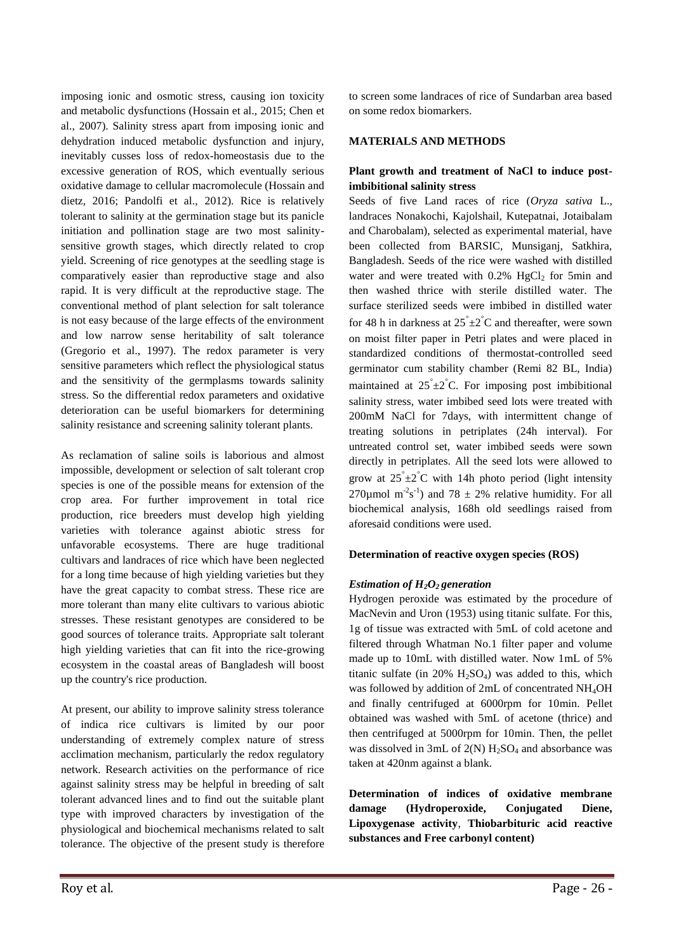imposing ionic and osmotic stress, causing ion toxicity and metabolic dysfunctions (Hossain et al., 2015; Chen et al., 2007). Salinity stress apart from imposing ionic and dehydration induced metabolic dysfunction and injury, inevitably cusses loss of redox-homeostasis due to the excessive generation of ROS, which eventually serious oxidative damage to cellular macromolecule (Hossain and dietz, 2016; Pandolfi et al., 2012). Rice is relatively tolerant to salinity at the germination stage but its panicle initiation and pollination stage are two most salinitysensitive growth stages, which directly related to crop yield. Screening of rice genotypes at the seedling stage is comparatively easier than reproductive stage and also rapid. It is very difficult at the reproductive stage. The conventional method of plant selection for salt tolerance is not easy because of the large effects of the environment and low narrow sense heritability of salt tolerance (Gregorio et al., 1997). The redox parameter is very sensitive parameters which reflect the physiological status and the sensitivity of the germplasms towards salinity stress. So the differential redox parameters and oxidative deterioration can be useful biomarkers for determining salinity resistance and screening salinity tolerant plants.

As reclamation of saline soils is laborious and almost impossible, development or selection of salt tolerant crop species is one of the possible means for extension of the crop area. For further improvement in total rice production, rice breeders must develop high yielding varieties with tolerance against abiotic stress for unfavorable ecosystems. There are huge traditional cultivars and landraces of rice which have been neglected for a long time because of high yielding varieties but they have the great capacity to combat stress. These rice are more tolerant than many elite cultivars to various abiotic stresses. These resistant genotypes are considered to be good sources of tolerance traits. Appropriate salt tolerant high yielding varieties that can fit into the rice-growing ecosystem in the coastal areas of Bangladesh will boost up the country's rice production.

At present, our ability to improve salinity stress tolerance of indica rice cultivars is limited by our poor understanding of extremely complex nature of stress acclimation mechanism, particularly the redox regulatory network. Research activities on the performance of rice against salinity stress may be helpful in breeding of salt tolerant advanced lines and to find out the suitable plant type with improved characters by investigation of the physiological and biochemical mechanisms related to salt tolerance. The objective of the present study is therefore to screen some landraces of rice of Sundarban area based on some redox biomarkers.

#### **MATERIALS AND METHODS**

### **Plant growth and treatment of NaCl to induce postimbibitional salinity stress**

Seeds of five Land races of rice (*Oryza sativa* L., landraces Nonakochi, Kajolshail, Kutepatnai, Jotaibalam and Charobalam), selected as experimental material, have been collected from BARSIC, Munsiganj, Satkhira, Bangladesh. Seeds of the rice were washed with distilled water and were treated with  $0.2\%$  HgCl<sub>2</sub> for 5min and then washed thrice with sterile distilled water. The surface sterilized seeds were imbibed in distilled water for 48 h in darkness at  $25^{\degree} \pm 2^{\degree}C$  and thereafter, were sown on moist filter paper in Petri plates and were placed in standardized conditions of thermostat-controlled seed germinator cum stability chamber (Remi 82 BL, India) maintained at  $25^{\degree} \pm 2^{\degree}$ C. For imposing post imbibitional salinity stress, water imbibed seed lots were treated with 200mM NaCl for 7days, with intermittent change of treating solutions in petriplates (24h interval). For untreated control set, water imbibed seeds were sown directly in petriplates. All the seed lots were allowed to grow at  $25^{\degree} \pm 2^{\degree}$ C with 14h photo period (light intensity 270 $\mu$ mol m<sup>-2</sup>s<sup>-1</sup>) and 78  $\pm$  2% relative humidity. For all biochemical analysis, 168h old seedlings raised from aforesaid conditions were used.

#### **Determination of reactive oxygen species (ROS)**

#### *Estimation of H2O<sup>2</sup> generation*

Hydrogen peroxide was estimated by the procedure of MacNevin and Uron (1953) using titanic sulfate. For this, 1g of tissue was extracted with 5mL of cold acetone and filtered through Whatman No.1 filter paper and volume made up to 10mL with distilled water. Now 1mL of 5% titanic sulfate (in 20%  $H_2SO_4$ ) was added to this, which was followed by addition of 2mL of concentrated NH<sub>4</sub>OH and finally centrifuged at 6000rpm for 10min. Pellet obtained was washed with 5mL of acetone (thrice) and then centrifuged at 5000rpm for 10min. Then, the pellet was dissolved in 3mL of  $2(N)$  H<sub>2</sub>SO<sub>4</sub> and absorbance was taken at 420nm against a blank.

**Determination of indices of oxidative membrane damage (Hydroperoxide, Conjugated Diene, Lipoxygenase activity**, **Thiobarbituric acid reactive substances and Free carbonyl content)**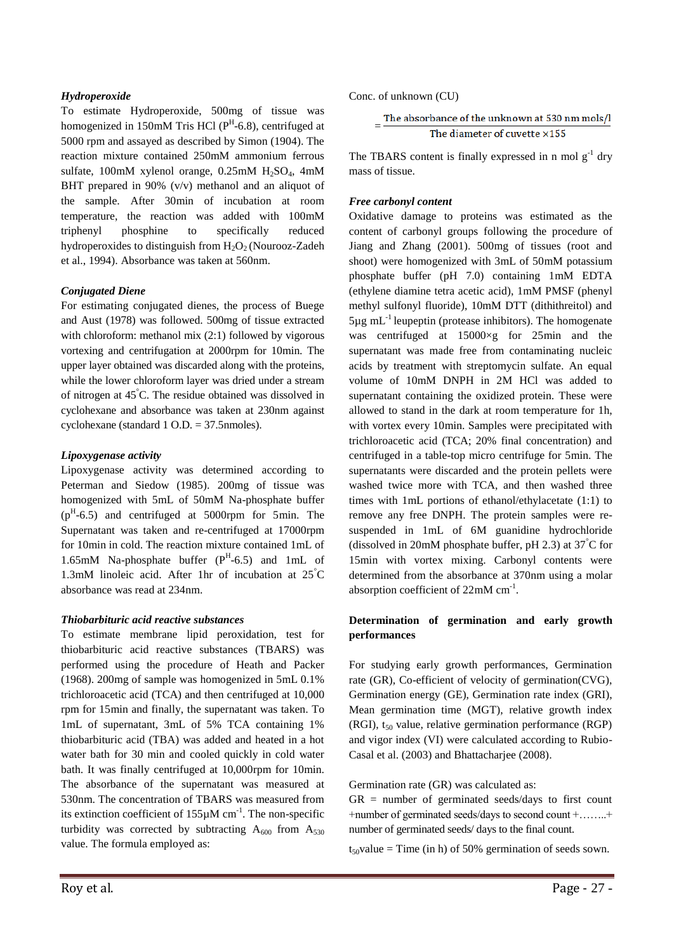### *Hydroperoxide*

To estimate Hydroperoxide, 500mg of tissue was homogenized in 150mM Tris HCl  $(P^H$ -6.8), centrifuged at 5000 rpm and assayed as described by Simon (1904). The reaction mixture contained 250mM ammonium ferrous sulfate, 100mM xylenol orange, 0.25mM  $H_2SO_4$ , 4mM BHT prepared in 90% (v/v) methanol and an aliquot of the sample. After 30min of incubation at room temperature, the reaction was added with 100mM triphenyl phosphine to specifically reduced hydroperoxides to distinguish from  $H_2O_2$  (Nourooz-Zadeh et al., 1994). Absorbance was taken at 560nm.

### *Conjugated Diene*

For estimating conjugated dienes, the process of Buege and Aust (1978) was followed. 500mg of tissue extracted with chloroform: methanol mix (2:1) followed by vigorous vortexing and centrifugation at 2000rpm for 10min. The upper layer obtained was discarded along with the proteins, while the lower chloroform layer was dried under a stream of nitrogen at 45°C. The residue obtained was dissolved in cyclohexane and absorbance was taken at 230nm against cyclohexane (standard 1 O.D. = 37.5nmoles).

### *Lipoxygenase activity*

Lipoxygenase activity was determined according to Peterman and Siedow (1985). 200mg of tissue was homogenized with 5mL of 50mM Na-phosphate buffer  $(p<sup>H</sup>-6.5)$  and centrifuged at 5000rpm for 5min. The Supernatant was taken and re-centrifuged at 17000rpm for 10min in cold. The reaction mixture contained 1mL of 1.65mM Na-phosphate buffer  $(P^H - 6.5)$  and 1mL of 1.3mM linoleic acid. After 1hr of incubation at 25°C absorbance was read at 234nm.

#### *Thiobarbituric acid reactive substances*

To estimate membrane lipid peroxidation, test for thiobarbituric acid reactive substances (TBARS) was performed using the procedure of Heath and Packer (1968). 200mg of sample was homogenized in 5mL 0.1% trichloroacetic acid (TCA) and then centrifuged at 10,000 rpm for 15min and finally, the supernatant was taken. To 1mL of supernatant, 3mL of 5% TCA containing 1% thiobarbituric acid (TBA) was added and heated in a hot water bath for 30 min and cooled quickly in cold water bath. It was finally centrifuged at 10,000rpm for 10min. The absorbance of the supernatant was measured at 530nm. The concentration of TBARS was measured from its extinction coefficient of  $155\mu$ M cm<sup>-1</sup>. The non-specific turbidity was corrected by subtracting  $A_{600}$  from  $A_{530}$ value. The formula employed as:

Conc. of unknown (CU)

$$
= \frac{\text{The absorbance of the unknown at 530 nm mols/l}}{\text{The diameter of cuvette} \times 155}
$$

The TBARS content is finally expressed in n mol  $g^{-1}$  dry mass of tissue.

### *Free carbonyl content*

Oxidative damage to proteins was estimated as the content of carbonyl groups following the procedure of Jiang and Zhang (2001). 500mg of tissues (root and shoot) were homogenized with 3mL of 50mM potassium phosphate buffer (pH 7.0) containing 1mM EDTA (ethylene diamine tetra acetic acid), 1mM PMSF (phenyl methyl sulfonyl fluoride), 10mM DTT (dithithreitol) and  $5\mu g$  mL<sup>-1</sup> leupeptin (protease inhibitors). The homogenate was centrifuged at 15000×g for 25min and the supernatant was made free from contaminating nucleic acids by treatment with streptomycin sulfate. An equal volume of 10mM DNPH in 2M HCl was added to supernatant containing the oxidized protein. These were allowed to stand in the dark at room temperature for 1h, with vortex every 10min. Samples were precipitated with trichloroacetic acid (TCA; 20% final concentration) and centrifuged in a table-top micro centrifuge for 5min. The supernatants were discarded and the protein pellets were washed twice more with TCA, and then washed three times with 1mL portions of ethanol/ethylacetate (1:1) to remove any free DNPH. The protein samples were resuspended in 1mL of 6M guanidine hydrochloride (dissolved in 20mM phosphate buffer, pH 2.3) at  $37^{\circ}$ C for 15min with vortex mixing. Carbonyl contents were determined from the absorbance at 370nm using a molar absorption coefficient of  $22 \text{mM cm}^{-1}$ .

## **Determination of germination and early growth performances**

For studying early growth performances, Germination rate (GR), Co-efficient of velocity of germination(CVG), Germination energy (GE), Germination rate index (GRI), Mean germination time (MGT), relative growth index (RGI),  $t_{50}$  value, relative germination performance (RGP) and vigor index (VI) were calculated according to Rubio-Casal et al. (2003) and Bhattacharjee (2008).

Germination rate (GR) was calculated as:

 $GR$  = number of germinated seeds/days to first count +number of germinated seeds/days to second count +……..+ number of germinated seeds/ days to the final count.

 $t_{50}$ value = Time (in h) of 50% germination of seeds sown.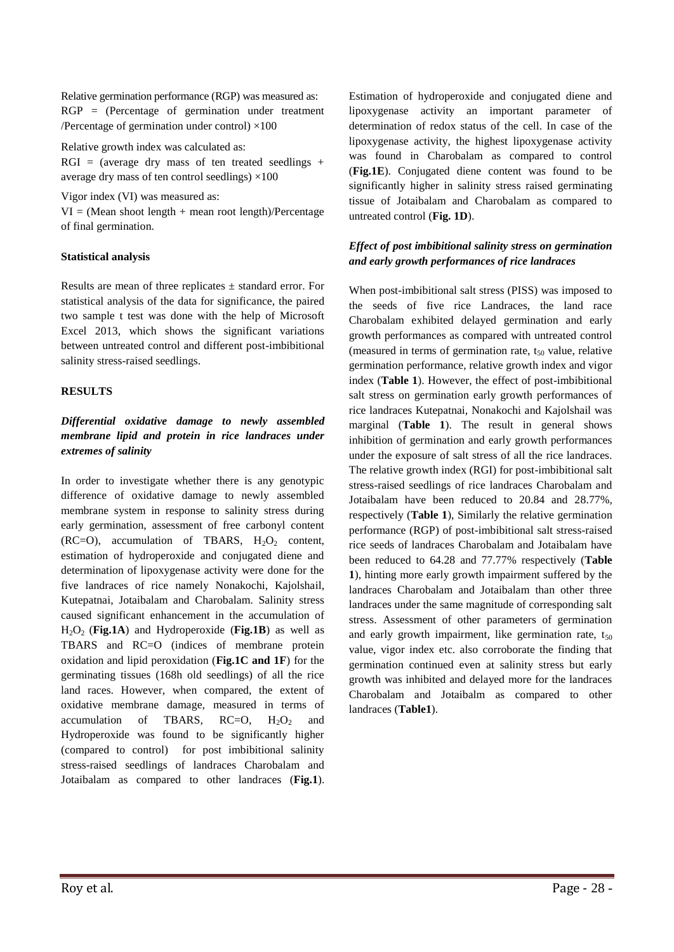Relative germination performance (RGP) was measured as: RGP = (Percentage of germination under treatment /Percentage of germination under control)  $\times 100$ 

Relative growth index was calculated as:

 $RGI = (average dry mass of ten treated seedlings +$ average dry mass of ten control seedlings)  $\times 100$ 

Vigor index (VI) was measured as:

 $VI = (Mean shoot length + mean root length)/Percentage$ of final germination.

#### **Statistical analysis**

Results are mean of three replicates ± standard error. For statistical analysis of the data for significance, the paired two sample t test was done with the help of Microsoft Excel 2013, which shows the significant variations between untreated control and different post-imbibitional salinity stress-raised seedlings.

#### **RESULTS**

# *Differential oxidative damage to newly assembled membrane lipid and protein in rice landraces under extremes of salinity*

In order to investigate whether there is any genotypic difference of oxidative damage to newly assembled membrane system in response to salinity stress during early germination, assessment of free carbonyl content (RC=O), accumulation of TBARS,  $H_2O_2$  content, estimation of hydroperoxide and conjugated diene and determination of lipoxygenase activity were done for the five landraces of rice namely Nonakochi, Kajolshail, Kutepatnai, Jotaibalam and Charobalam. Salinity stress caused significant enhancement in the accumulation of H2O2 (**Fig.1A**) and Hydroperoxide (**Fig.1B**) as well as TBARS and RC=O (indices of membrane protein oxidation and lipid peroxidation (**Fig.1C and 1F**) for the germinating tissues (168h old seedlings) of all the rice land races. However, when compared, the extent of oxidative membrane damage, measured in terms of accumulation of TBARS,  $RC=O$ ,  $H_2O_2$  and Hydroperoxide was found to be significantly higher (compared to control) for post imbibitional salinity stress-raised seedlings of landraces Charobalam and Jotaibalam as compared to other landraces (**Fig.1**). Estimation of hydroperoxide and conjugated diene and lipoxygenase activity an important parameter of determination of redox status of the cell. In case of the lipoxygenase activity, the highest lipoxygenase activity was found in Charobalam as compared to control (**Fig.1E**). Conjugated diene content was found to be significantly higher in salinity stress raised germinating tissue of Jotaibalam and Charobalam as compared to untreated control (**Fig. 1D**).

### *Effect of post imbibitional salinity stress on germination and early growth performances of rice landraces*

When post-imbibitional salt stress (PISS) was imposed to the seeds of five rice Landraces, the land race Charobalam exhibited delayed germination and early growth performances as compared with untreated control (measured in terms of germination rate,  $t_{50}$  value, relative germination performance, relative growth index and vigor index (**Table 1**). However, the effect of post-imbibitional salt stress on germination early growth performances of rice landraces Kutepatnai, Nonakochi and Kajolshail was marginal (**Table 1**). The result in general shows inhibition of germination and early growth performances under the exposure of salt stress of all the rice landraces. The relative growth index (RGI) for post-imbibitional salt stress-raised seedlings of rice landraces Charobalam and Jotaibalam have been reduced to 20.84 and 28.77%, respectively (**Table 1**), Similarly the relative germination performance (RGP) of post-imbibitional salt stress-raised rice seeds of landraces Charobalam and Jotaibalam have been reduced to 64.28 and 77.77% respectively (**Table 1**), hinting more early growth impairment suffered by the landraces Charobalam and Jotaibalam than other three landraces under the same magnitude of corresponding salt stress. Assessment of other parameters of germination and early growth impairment, like germination rate,  $t_{50}$ value, vigor index etc. also corroborate the finding that germination continued even at salinity stress but early growth was inhibited and delayed more for the landraces Charobalam and Jotaibalm as compared to other landraces (**Table1**).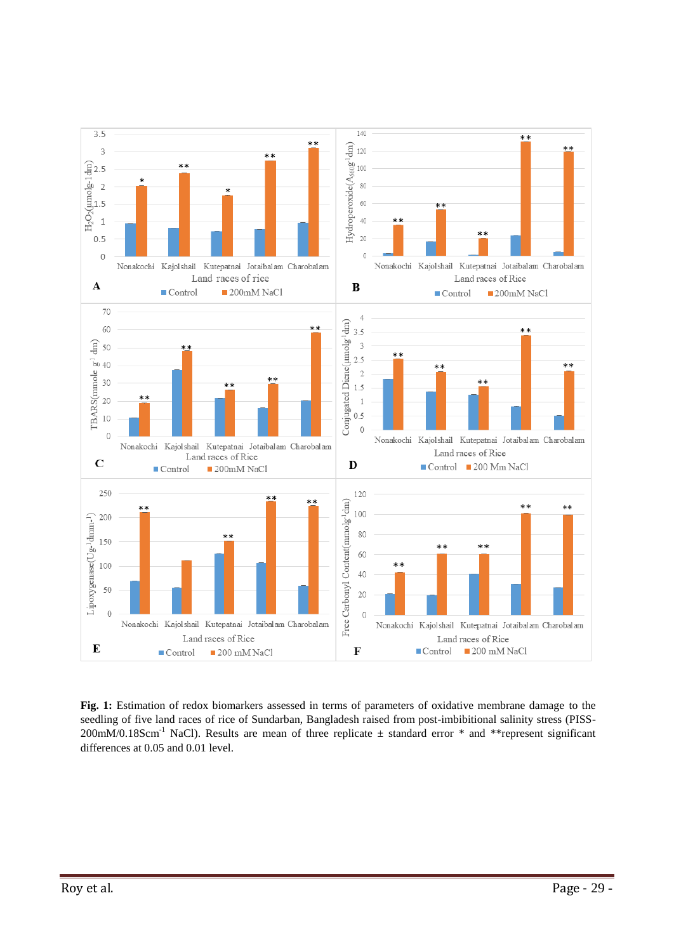

**Fig. 1:** Estimation of redox biomarkers assessed in terms of parameters of oxidative membrane damage to the seedling of five land races of rice of Sundarban, Bangladesh raised from post-imbibitional salinity stress (PISS-200mM/0.18Scm<sup>-1</sup> NaCl). Results are mean of three replicate  $\pm$  standard error \* and \*\*represent significant differences at 0.05 and 0.01 level.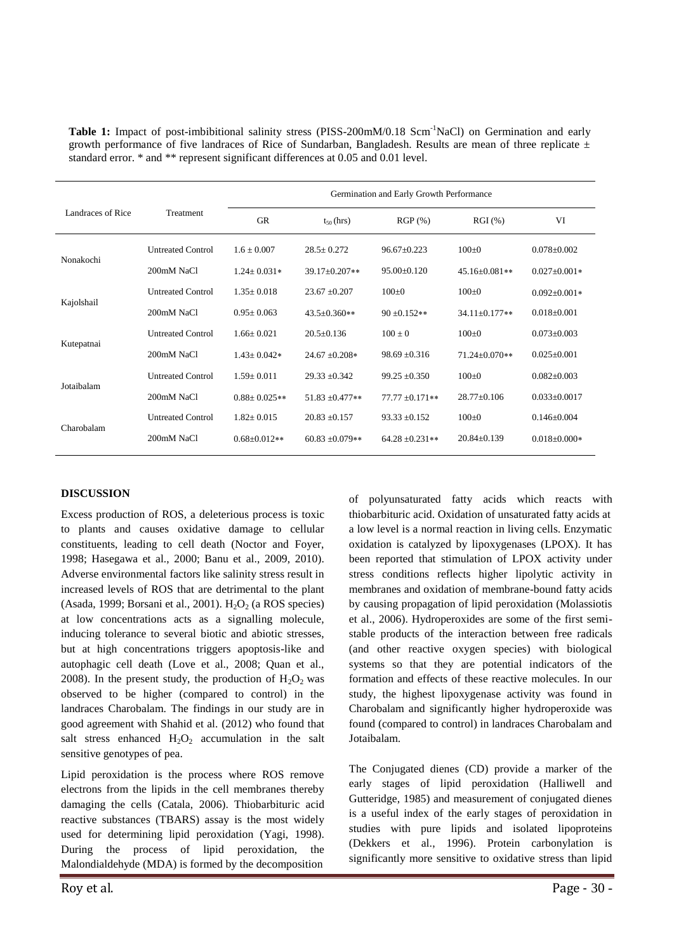**Table 1:** Impact of post-imbibitional salinity stress (PISS-200mM/0.18 Scm<sup>-1</sup>NaCl) on Germination and early growth performance of five landraces of Rice of Sundarban, Bangladesh. Results are mean of three replicate  $\pm$ standard error. \* and \*\* represent significant differences at 0.05 and 0.01 level.

| Landraces of Rice | Treatment                | Germination and Early Growth Performance |                     |                   |                     |                    |
|-------------------|--------------------------|------------------------------------------|---------------------|-------------------|---------------------|--------------------|
|                   |                          | <b>GR</b>                                | $t_{50}$ (hrs)      | $RGP(\% )$        | RGI(%)              | VI                 |
| Nonakochi         | <b>Untreated Control</b> | $1.6 \pm 0.007$                          | $28.5 \pm 0.272$    | $96.67 \pm 0.223$ | $100 \pm 0$         | $0.078 \pm 0.002$  |
|                   | 200mM NaCl               | $1.24 + 0.031*$                          | $39.17 \pm 0.207**$ | 95.00±0.120       | 45.16±0.081**       | $0.027 \pm 0.001*$ |
| Kajolshail        | <b>Untreated Control</b> | $1.35+0.018$                             | $23.67 \pm 0.207$   | $100 \pm 0$       | $100 \pm 0$         | $0.092 \pm 0.001*$ |
|                   | 200mM NaCl               | $0.95+0.063$                             | $43.5 \pm 0.360**$  | $90 \pm 0.152**$  | $34.11 \pm 0.177**$ | $0.018 \pm 0.001$  |
| Kutepatnai        | <b>Untreated Control</b> | $1.66 \pm 0.021$                         | $20.5 \pm 0.136$    | $100 \pm 0$       | $100+0$             | $0.073 \pm 0.003$  |
|                   | 200mM NaCl               | $1.43 \pm 0.042*$                        | $24.67 \pm 0.208*$  | $98.69 \pm 0.316$ | 71.24±0.070**       | $0.025 \pm 0.001$  |
| Jotaibalam        | <b>Untreated Control</b> | $1.59 \pm 0.011$                         | $29.33 \pm 0.342$   | $99.25 \pm 0.350$ | $100+0$             | $0.082 \pm 0.003$  |
|                   | 200mM NaCl               | $0.88 \pm 0.025**$                       | $51.83 \pm 0.477**$ | $77.77 + 0.171**$ | $28.77+0.106$       | $0.033 \pm 0.0017$ |
| Charobalam        | <b>Untreated Control</b> | $1.82 \pm 0.015$                         | $20.83 \pm 0.157$   | $93.33 \pm 0.152$ | $100+0$             | $0.146 \pm 0.004$  |
|                   | 200mM NaCl               | $0.68 \pm 0.012**$                       | $60.83 \pm 0.079**$ | $64.28 + 0.231**$ | $20.84 + 0.139$     | $0.018 \pm 0.000*$ |

#### **DISCUSSION**

Excess production of ROS, a deleterious process is toxic to plants and causes oxidative damage to cellular constituents, leading to cell death (Noctor and Foyer, 1998; Hasegawa et al., 2000; Banu et al., 2009, 2010). Adverse environmental factors like salinity stress result in increased levels of ROS that are detrimental to the plant (Asada, 1999; Borsani et al., 2001).  $H_2O_2$  (a ROS species) at low concentrations acts as a signalling molecule, inducing tolerance to several biotic and abiotic stresses, but at high concentrations triggers apoptosis-like and autophagic cell death (Love et al., 2008; Quan et al., 2008). In the present study, the production of  $H_2O_2$  was observed to be higher (compared to control) in the landraces Charobalam. The findings in our study are in good agreement with Shahid et al. (2012) who found that salt stress enhanced  $H_2O_2$  accumulation in the salt sensitive genotypes of pea.

Lipid peroxidation is the process where ROS remove electrons from the lipids in the cell membranes thereby damaging the cells (Catala, 2006). Thiobarbituric acid reactive substances (TBARS) assay is the most widely used for determining lipid peroxidation (Yagi, 1998). During the process of lipid peroxidation, the Malondialdehyde (MDA) is formed by the decomposition

of polyunsaturated fatty acids which reacts with thiobarbituric acid. Oxidation of unsaturated fatty acids at a low level is a normal reaction in living cells. Enzymatic oxidation is catalyzed by lipoxygenases (LPOX). It has been reported that stimulation of LPOX activity under stress conditions reflects higher lipolytic activity in membranes and oxidation of membrane-bound fatty acids by causing propagation of lipid peroxidation (Molassiotis et al., 2006). Hydroperoxides are some of the first semistable products of the interaction between free radicals (and other reactive oxygen species) with biological systems so that they are potential indicators of the formation and effects of these reactive molecules. In our study, the highest lipoxygenase activity was found in Charobalam and significantly higher hydroperoxide was found (compared to control) in landraces Charobalam and Jotaibalam.

The Conjugated dienes (CD) provide a marker of the early stages of lipid peroxidation (Halliwell and Gutteridge, 1985) and measurement of conjugated dienes is a useful index of the early stages of peroxidation in studies with pure lipids and isolated lipoproteins (Dekkers et al., 1996). Protein carbonylation is significantly more sensitive to oxidative stress than lipid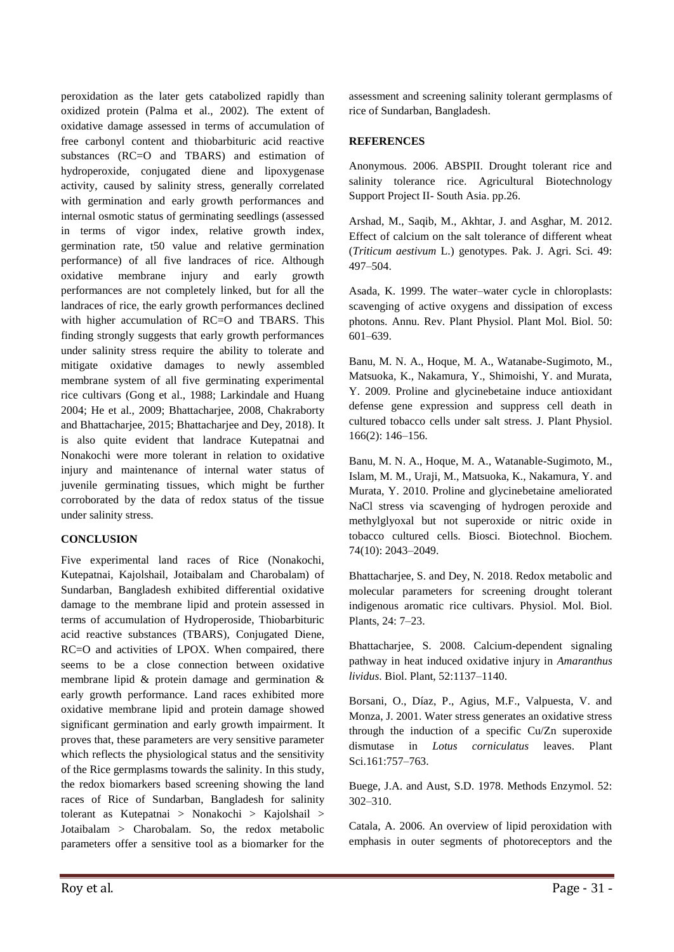peroxidation as the later gets catabolized rapidly than oxidized protein (Palma et al., 2002). The extent of oxidative damage assessed in terms of accumulation of free carbonyl content and thiobarbituric acid reactive substances (RC=O and TBARS) and estimation of hydroperoxide, conjugated diene and lipoxygenase activity, caused by salinity stress, generally correlated with germination and early growth performances and internal osmotic status of germinating seedlings (assessed in terms of vigor index, relative growth index, germination rate, t50 value and relative germination performance) of all five landraces of rice. Although oxidative membrane injury and early growth performances are not completely linked, but for all the landraces of rice, the early growth performances declined with higher accumulation of RC=O and TBARS. This finding strongly suggests that early growth performances under salinity stress require the ability to tolerate and mitigate oxidative damages to newly assembled membrane system of all five germinating experimental rice cultivars (Gong et al., 1988; Larkindale and Huang 2004; He et al., 2009; Bhattacharjee, 2008, Chakraborty and Bhattacharjee, 2015; Bhattacharjee and Dey, 2018). It is also quite evident that landrace Kutepatnai and Nonakochi were more tolerant in relation to oxidative injury and maintenance of internal water status of juvenile germinating tissues, which might be further corroborated by the data of redox status of the tissue under salinity stress.

## **CONCLUSION**

Five experimental land races of Rice (Nonakochi, Kutepatnai, Kajolshail, Jotaibalam and Charobalam) of Sundarban, Bangladesh exhibited differential oxidative damage to the membrane lipid and protein assessed in terms of accumulation of Hydroperoside, Thiobarbituric acid reactive substances (TBARS), Conjugated Diene, RC=O and activities of LPOX. When compaired, there seems to be a close connection between oxidative membrane lipid & protein damage and germination & early growth performance. Land races exhibited more oxidative membrane lipid and protein damage showed significant germination and early growth impairment. It proves that, these parameters are very sensitive parameter which reflects the physiological status and the sensitivity of the Rice germplasms towards the salinity. In this study, the redox biomarkers based screening showing the land races of Rice of Sundarban, Bangladesh for salinity tolerant as Kutepatnai > Nonakochi > Kajolshail > Jotaibalam > Charobalam. So, the redox metabolic parameters offer a sensitive tool as a biomarker for the assessment and screening salinity tolerant germplasms of rice of Sundarban, Bangladesh.

## **REFERENCES**

Anonymous. 2006. ABSPII. Drought tolerant rice and salinity tolerance rice. Agricultural Biotechnology Support Project II- South Asia. pp.26.

Arshad, M., Saqib, M., Akhtar, J. and Asghar, M. 2012. Effect of calcium on the salt tolerance of different wheat (*Triticum aestivum* L.) genotypes. Pak. J. Agri. Sci. 49: 497–504.

Asada, K. 1999. The water–water cycle in chloroplasts: scavenging of active oxygens and dissipation of excess photons. Annu. Rev. Plant Physiol. Plant Mol. Biol. 50: 601–639.

Banu, M. N. A., Hoque, M. A., Watanabe-Sugimoto, M., Matsuoka, K., Nakamura, Y., Shimoishi, Y. and Murata, Y. 2009. Proline and glycinebetaine induce antioxidant defense gene expression and suppress cell death in cultured tobacco cells under salt stress. J. Plant Physiol. 166(2): 146–156.

Banu, M. N. A., Hoque, M. A., Watanable-Sugimoto, M., Islam, M. M., Uraji, M., Matsuoka, K., Nakamura, Y. and Murata, Y. 2010. Proline and glycinebetaine ameliorated NaCl stress via scavenging of hydrogen peroxide and methylglyoxal but not superoxide or nitric oxide in tobacco cultured cells. Biosci. Biotechnol. Biochem. 74(10): 2043–2049.

Bhattacharjee, S. and Dey, N. 2018. Redox metabolic and molecular parameters for screening drought tolerant indigenous aromatic rice cultivars. Physiol. Mol. Biol. Plants, 24: 7–23.

Bhattacharjee, S. 2008. Calcium-dependent signaling pathway in heat induced oxidative injury in *Amaranthus lividus*. Biol. Plant, 52:1137–1140.

Borsani, O., Díaz, P., Agius, M.F., Valpuesta, V. and Monza, J. 2001. Water stress generates an oxidative stress through the induction of a specific Cu/Zn superoxide dismutase in *Lotus corniculatus* leaves. Plant Sci.161:757–763.

Buege, J.A. and Aust, S.D. 1978. Methods Enzymol. 52: 302–310.

Catala, A. 2006. An overview of lipid peroxidation with emphasis in outer segments of photoreceptors and the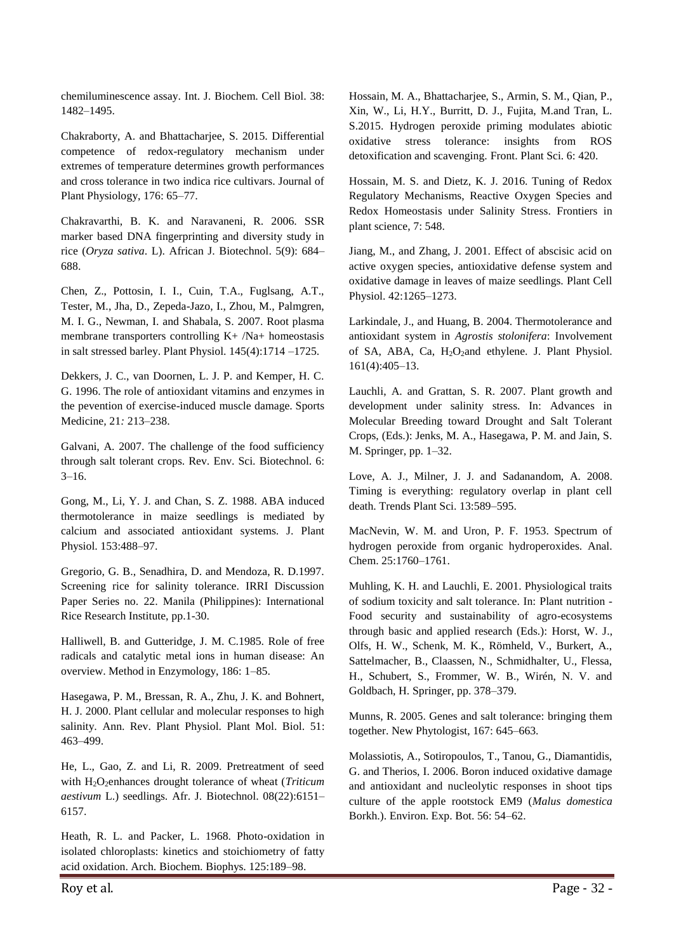chemiluminescence assay. Int. J. Biochem. Cell Biol. 38: 1482–1495.

Chakraborty, A. and Bhattacharjee, S. 2015. Differential competence of redox-regulatory mechanism under extremes of temperature determines growth performances and cross tolerance in two indica rice cultivars. Journal of Plant Physiology, 176: 65–77.

Chakravarthi, B. K. and Naravaneni, R. 2006. SSR marker based DNA fingerprinting and diversity study in rice (*Oryza sativa*. L). African J. Biotechnol. 5(9): 684– 688.

Chen, Z., Pottosin, I. I., Cuin, T.A., Fuglsang, A.T., Tester, M., Jha, D., Zepeda-Jazo, I., Zhou, M., Palmgren, M. I. G., Newman, I. and Shabala, S. 2007. Root plasma membrane transporters controlling K+ /Na+ homeostasis in salt stressed barley. Plant Physiol. 145(4):1714 –1725.

Dekkers, J. C., van Doornen, L. J. P. and Kemper, H. C. G. 1996. The role of antioxidant vitamins and enzymes in the pevention of exercise-induced muscle damage. Sports Medicine*,* 21*:* 213–238.

Galvani, A. 2007. The challenge of the food sufficiency through salt tolerant crops. Rev. Env. Sci. Biotechnol. 6:  $3-16$ .

Gong, M., Li, Y. J. and Chan, S. Z. 1988. ABA induced thermotolerance in maize seedlings is mediated by calcium and associated antioxidant systems. J. Plant Physiol. 153:488–97.

Gregorio, G. B., Senadhira, D. and Mendoza, R. D.1997. Screening rice for salinity tolerance. IRRI Discussion Paper Series no. 22. Manila (Philippines): International Rice Research Institute, pp.1-30.

Halliwell, B. and Gutteridge, J. M. C.1985. Role of free radicals and catalytic metal ions in human disease: An overview. Method in Enzymology, 186: 1–85.

Hasegawa, P. M., Bressan, R. A., Zhu, J. K. and Bohnert, H. J. 2000. Plant cellular and molecular responses to high salinity. Ann. Rev. Plant Physiol. Plant Mol. Biol. 51: 463–499.

He, L., Gao, Z. and Li, R. 2009. Pretreatment of seed with H<sub>2</sub>O<sub>2</sub>enhances drought tolerance of wheat (*Triticum aestivum* L.) seedlings. Afr. J. Biotechnol. 08(22):6151– 6157.

Heath, R. L. and Packer, L. 1968. Photo-oxidation in isolated chloroplasts: kinetics and stoichiometry of fatty acid oxidation. Arch. Biochem. Biophys. 125:189–98.

Hossain, M. A., Bhattacharjee, S., Armin, S. M., Qian, P., Xin, W., Li, H.Y., Burritt, D. J., Fujita, M.and Tran, L. S.2015. Hydrogen peroxide priming modulates abiotic oxidative stress tolerance: insights from ROS detoxification and scavenging. Front. Plant Sci. 6: 420.

Hossain, M. S. and Dietz, K. J. 2016. Tuning of Redox Regulatory Mechanisms, Reactive Oxygen Species and Redox Homeostasis under Salinity Stress. Frontiers in plant science, 7: 548.

Jiang, M., and Zhang, J. 2001. Effect of abscisic acid on active oxygen species, antioxidative defense system and oxidative damage in leaves of maize seedlings. Plant Cell Physiol. 42:1265–1273.

Larkindale, J., and Huang, B. 2004. Thermotolerance and antioxidant system in *Agrostis stolonifera*: Involvement of SA, ABA, Ca, H<sub>2</sub>O<sub>2</sub>and ethylene. J. Plant Physiol. 161(4):405–13.

Lauchli, A. and Grattan, S. R. 2007. Plant growth and development under salinity stress. In: Advances in Molecular Breeding toward Drought and Salt Tolerant Crops, (Eds.): Jenks, M. A., Hasegawa, P. M. and Jain, S. M. Springer, pp. 1–32.

Love, A. J., Milner, J. J. and Sadanandom, A. 2008. Timing is everything: regulatory overlap in plant cell death. Trends Plant Sci. 13:589–595.

MacNevin, W. M. and Uron, P. F. 1953. Spectrum of hydrogen peroxide from organic hydroperoxides. Anal. Chem. 25:1760–1761.

Muhling, K. H. and Lauchli, E. 2001. Physiological traits of sodium toxicity and salt tolerance. In: Plant nutrition - Food security and sustainability of agro-ecosystems through basic and applied research (Eds.): Horst, W. J., Olfs, H. W., Schenk, M. K., Römheld, V., Burkert, A., Sattelmacher, B., Claassen, N., Schmidhalter, U., Flessa, H., Schubert, S., Frommer, W. B., Wirén, N. V. and Goldbach, H. Springer, pp. 378–379.

Munns, R. 2005. Genes and salt tolerance: bringing them together. New Phytologist, 167: 645–663.

Molassiotis, A., Sotiropoulos, T., Tanou, G., Diamantidis, G. and Therios, I. 2006. Boron induced oxidative damage and antioxidant and nucleolytic responses in shoot tips culture of the apple rootstock EM9 (*Malus domestica* Borkh.). Environ. Exp. Bot. 56: 54–62.